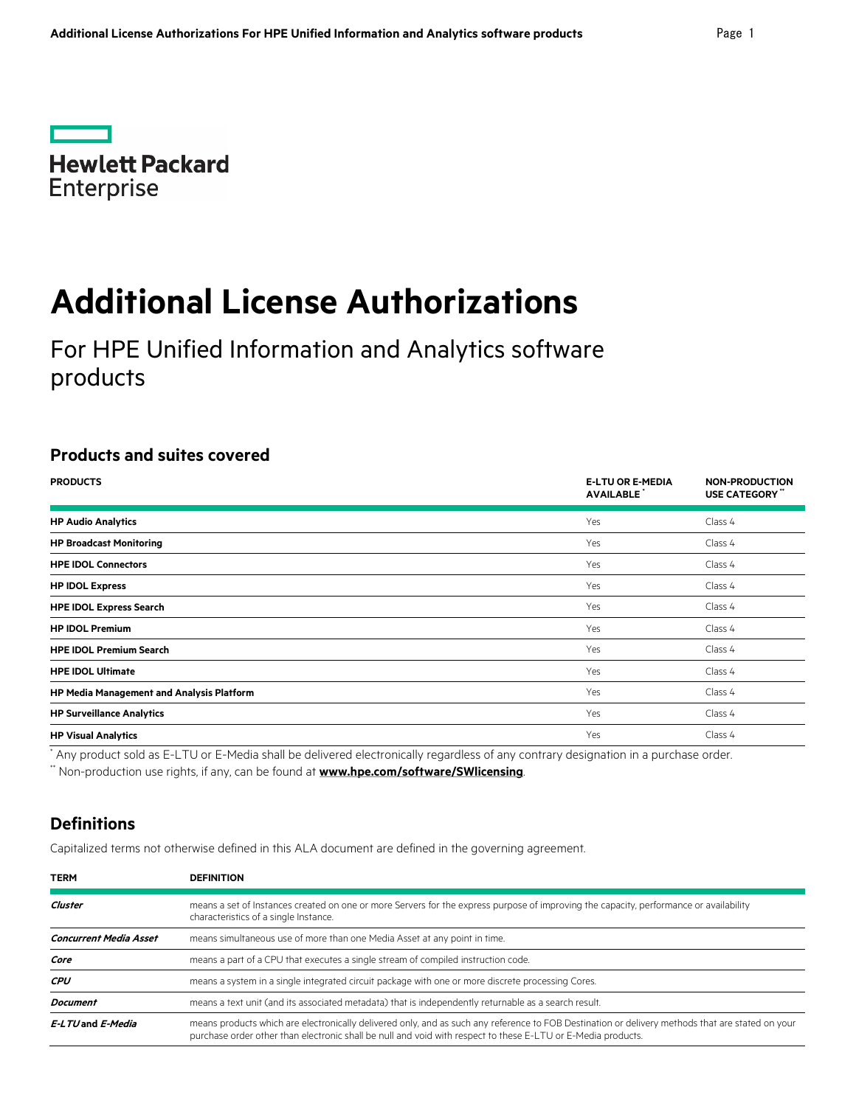**Contract Hewlett Packard** Enterprise

# **Additional License Authorizations**

For HPE Unified Information and Analytics software products

# **Products and suites covered**

| <b>PRODUCTS</b>                           | <b>E-LTU OR E-MEDIA</b><br><b>AVAILABLE</b> | <b>NON-PRODUCTION</b><br>USE CATEGORY" |
|-------------------------------------------|---------------------------------------------|----------------------------------------|
| <b>HP Audio Analytics</b>                 | Yes                                         | Class 4                                |
| <b>HP Broadcast Monitoring</b>            | Yes                                         | Class 4                                |
| <b>HPE IDOL Connectors</b>                | Yes                                         | Class 4                                |
| <b>HP IDOL Express</b>                    | Yes                                         | Class 4                                |
| <b>HPE IDOL Express Search</b>            | Yes                                         | Class 4                                |
| <b>HP IDOL Premium</b>                    | Yes                                         | Class 4                                |
| <b>HPE IDOL Premium Search</b>            | Yes                                         | Class 4                                |
| <b>HPE IDOL Ultimate</b>                  | Yes                                         | Class 4                                |
| HP Media Management and Analysis Platform | Yes                                         | Class 4                                |
| <b>HP Surveillance Analytics</b>          | Yes                                         | Class 4                                |
| <b>HP Visual Analytics</b>                | Yes                                         | Class 4                                |

\* Any product sold as E-LTU or E-Media shall be delivered electronically regardless of any contrary designation in a purchase order.

\*\* Non-production use rights, if any, can be found at **[www.hpe.com/software/SWlicensing](http://www.hpe.com/software/SWlicensing)**.

# **Definitions**

Capitalized terms not otherwise defined in this ALA document are defined in the governing agreement.

| <b>TERM</b>                   | <b>DEFINITION</b>                                                                                                                                                                                                                                                |  |
|-------------------------------|------------------------------------------------------------------------------------------------------------------------------------------------------------------------------------------------------------------------------------------------------------------|--|
| Cluster                       | means a set of Instances created on one or more Servers for the express purpose of improving the capacity, performance or availability<br>characteristics of a single Instance.                                                                                  |  |
| <b>Concurrent Media Asset</b> | means simultaneous use of more than one Media Asset at any point in time.                                                                                                                                                                                        |  |
| Core                          | means a part of a CPU that executes a single stream of compiled instruction code.                                                                                                                                                                                |  |
| <b>CPU</b>                    | means a system in a single integrated circuit package with one or more discrete processing Cores.                                                                                                                                                                |  |
| <b>Document</b>               | means a text unit (and its associated metadata) that is independently returnable as a search result.                                                                                                                                                             |  |
| E-LTU and E-Media             | means products which are electronically delivered only, and as such any reference to FOB Destination or delivery methods that are stated on your<br>purchase order other than electronic shall be null and void with respect to these E-LTU or E-Media products. |  |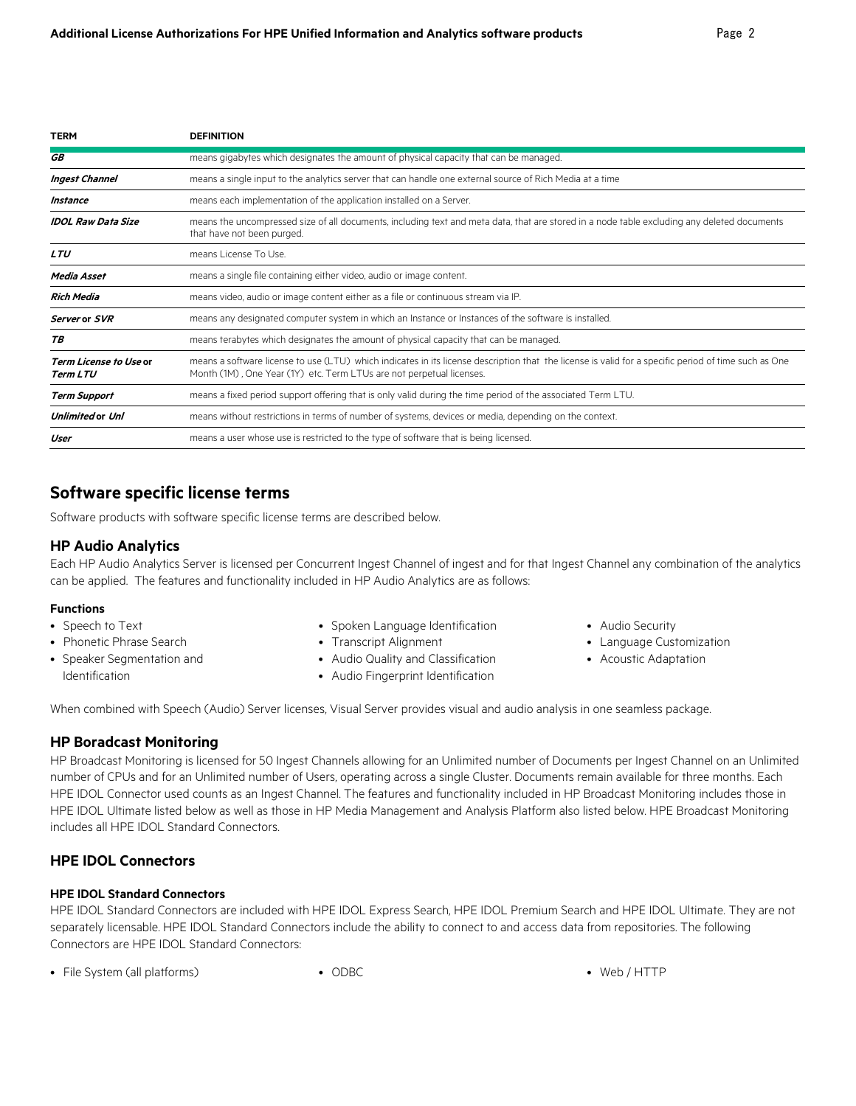| <b>TERM</b>                                      | <b>DEFINITION</b>                                                                                                                                                                                                            |
|--------------------------------------------------|------------------------------------------------------------------------------------------------------------------------------------------------------------------------------------------------------------------------------|
| <b>GB</b>                                        | means gigabytes which designates the amount of physical capacity that can be managed.                                                                                                                                        |
| <b>Ingest Channel</b>                            | means a single input to the analytics server that can handle one external source of Rich Media at a time                                                                                                                     |
| Instance                                         | means each implementation of the application installed on a Server.                                                                                                                                                          |
| <b>IDOL Raw Data Size</b>                        | means the uncompressed size of all documents, including text and meta data, that are stored in a node table excluding any deleted documents<br>that have not been purged.                                                    |
| <b>LTU</b>                                       | means License To Use.                                                                                                                                                                                                        |
| Media Asset                                      | means a single file containing either video, audio or image content.                                                                                                                                                         |
| Rich Media                                       | means video, audio or image content either as a file or continuous stream via IP.                                                                                                                                            |
| Server or SVR                                    | means any designated computer system in which an Instance or Instances of the software is installed.                                                                                                                         |
| ТB                                               | means terabytes which designates the amount of physical capacity that can be managed.                                                                                                                                        |
| <b>Term License to Use or</b><br><b>Term LTU</b> | means a software license to use (LTU) which indicates in its license description that the license is valid for a specific period of time such as One<br>Month (1M), One Year (1Y) etc. Term LTUs are not perpetual licenses. |
| <b>Term Support</b>                              | means a fixed period support offering that is only valid during the time period of the associated Term LTU.                                                                                                                  |
| <b>Unlimited or Unl</b>                          | means without restrictions in terms of number of systems, devices or media, depending on the context.                                                                                                                        |
| User                                             | means a user whose use is restricted to the type of software that is being licensed.                                                                                                                                         |

# **Software specific license terms**

Software products with software specific license terms are described below.

#### **HP Audio Analytics**

Each HP Audio Analytics Server is licensed per Concurrent Ingest Channel of ingest and for that Ingest Channel any combination of the analytics can be applied. The features and functionality included in HP Audio Analytics are as follows:

#### **Functions**

- Speech to Text
- Phonetic Phrase Search
- Speaker Segmentation and Identification
- Spoken Language Identification
- Transcript Alignment
- Audio Quality and Classification
- Audio Fingerprint Identification
- Audio Security
- Language Customization
- Acoustic Adaptation

When combined with Speech (Audio) Server licenses, Visual Server provides visual and audio analysis in one seamless package.

#### **HP Boradcast Monitoring**

HP Broadcast Monitoring is licensed for 50 Ingest Channels allowing for an Unlimited number of Documents per Ingest Channel on an Unlimited number of CPUs and for an Unlimited number of Users, operating across a single Cluster. Documents remain available for three months. Each HPE IDOL Connector used counts as an Ingest Channel. The features and functionality included in HP Broadcast Monitoring includes those in HPE IDOL Ultimate listed below as well as those in HP Media Management and Analysis Platform also listed below. HPE Broadcast Monitoring includes all HPE IDOL Standard Connectors.

# **HPE IDOL Connectors**

#### **HPE IDOL Standard Connectors**

HPE IDOL Standard Connectors are included with HPE IDOL Express Search, HPE IDOL Premium Search and HPE IDOL Ultimate. They are not separately licensable. HPE IDOL Standard Connectors include the ability to connect to and access data from repositories. The following Connectors are HPE IDOL Standard Connectors:

• File System (all platforms) • ODBC • Web / HTTP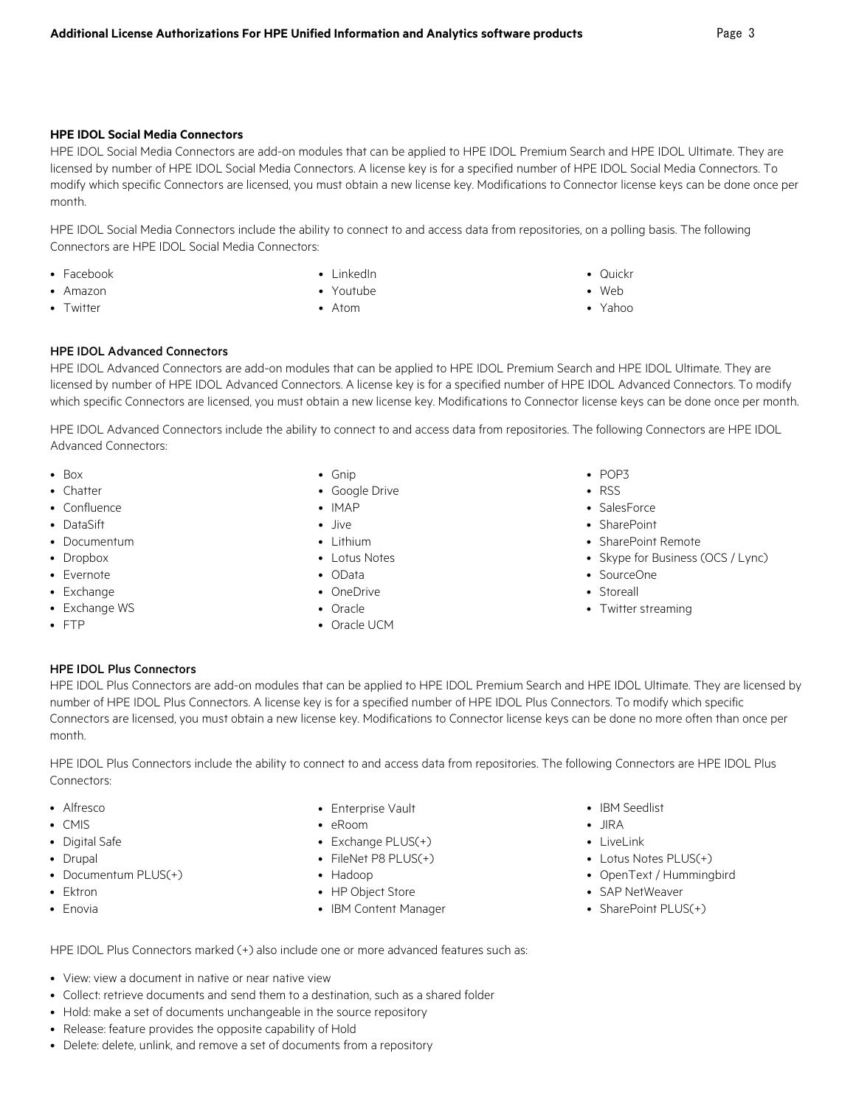#### **HPE IDOL Social Media Connectors**

HPE IDOL Social Media Connectors are add-on modules that can be applied to HPE IDOL Premium Search and HPE IDOL Ultimate. They are licensed by number of HPE IDOL Social Media Connectors. A license key is for a specified number of HPE IDOL Social Media Connectors. To modify which specific Connectors are licensed, you must obtain a new license key. Modifications to Connector license keys can be done once per month.

HPE IDOL Social Media Connectors include the ability to connect to and access data from repositories, on a polling basis. The following Connectors are HPE IDOL Social Media Connectors:

- Facebook
- Amazon
- Twitter
- LinkedIn
- Youtube
- Atom
- 
- Web
- Yahoo

#### HPE IDOL Advanced Connectors

HPE IDOL Advanced Connectors are add-on modules that can be applied to HPE IDOL Premium Search and HPE IDOL Ultimate. They are licensed by number of HPE IDOL Advanced Connectors. A license key is for a specified number of HPE IDOL Advanced Connectors. To modify which specific Connectors are licensed, you must obtain a new license key. Modifications to Connector license keys can be done once per month.

HPE IDOL Advanced Connectors include the ability to connect to and access data from repositories. The following Connectors are HPE IDOL Advanced Connectors:

- Box
- Chatter
- Confluence
- DataSift
- Documentum
- Dropbox
- Evernote
- Exchange
- Exchange WS
- FTP
- Gnip
- Google Drive
- IMAP
- Jive
- Lithium
- Lotus Notes
- OData
- OneDrive
- Oracle
- Oracle UCM
- POP3
- RSS
- SalesForce
- SharePoint
- SharePoint Remote
- Skype for Business (OCS / Lync)
- SourceOne
- Storeall
- Twitter streaming

#### HPE IDOL Plus Connectors

HPE IDOL Plus Connectors are add-on modules that can be applied to HPE IDOL Premium Search and HPE IDOL Ultimate. They are licensed by number of HPE IDOL Plus Connectors. A license key is for a specified number of HPE IDOL Plus Connectors. To modify which specific Connectors are licensed, you must obtain a new license key. Modifications to Connector license keys can be done no more often than once per month.

HPE IDOL Plus Connectors include the ability to connect to and access data from repositories. The following Connectors are HPE IDOL Plus Connectors:

- Alfresco
- CMIS
- Digital Safe
- Drupal
- Documentum PLUS(+)
- Ektron
- Enovia
- Enterprise Vault
- eRoom
- Exchange PLUS(+)
- FileNet P8 PLUS(+)
- Hadoop
- HP Object Store
- IBM Content Manager
- IBM Seedlist
- JIRA
- LiveLink
- Lotus Notes PLUS(+)
- OpenText / Hummingbird
- SAP NetWeaver
- SharePoint PLUS(+)

HPE IDOL Plus Connectors marked (+) also include one or more advanced features such as:

- View: view a document in native or near native view
- Collect: retrieve documents and send them to a destination, such as a shared folder
- Hold: make a set of documents unchangeable in the source repository
- Release: feature provides the opposite capability of Hold
- Delete: delete, unlink, and remove a set of documents from a repository
- Quickr
- 
-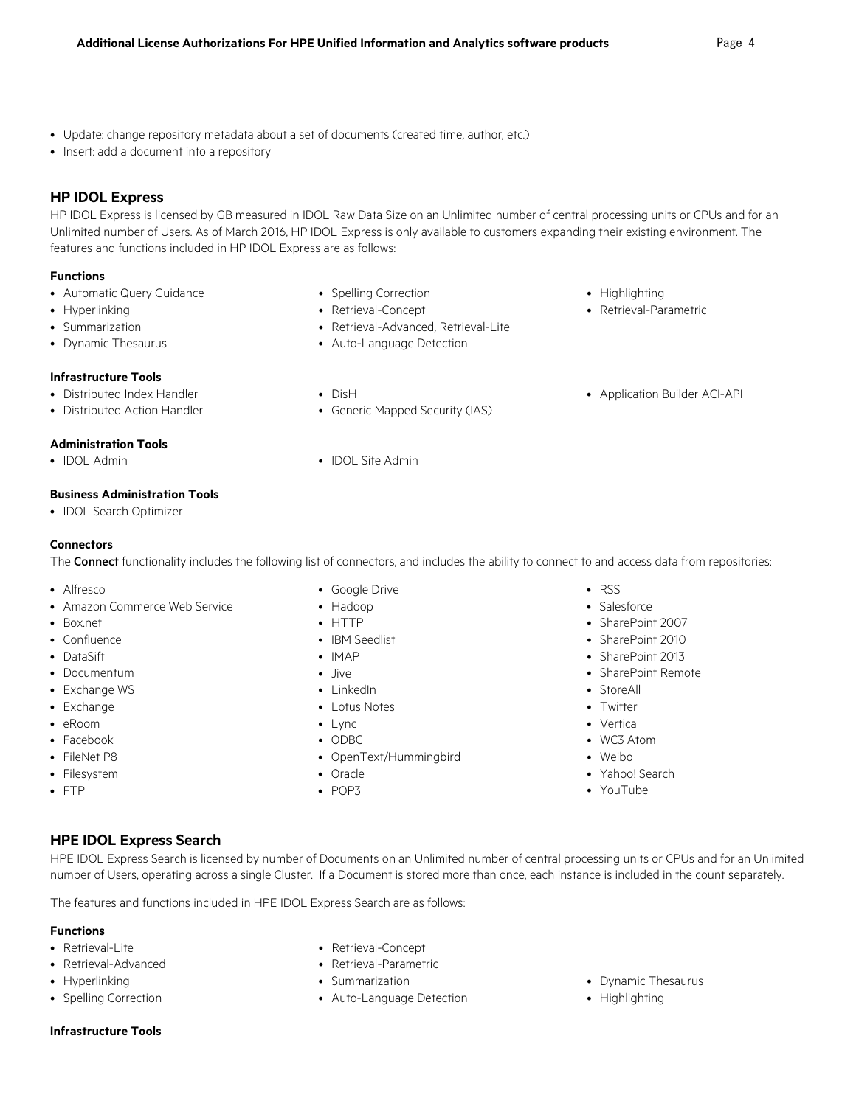- Update: change repository metadata about a set of documents (created time, author, etc.)
- Insert: add a document into a repository

# **HP IDOL Express**

HP IDOL Express is licensed by GB measured in IDOL Raw Data Size on an Unlimited number of central processing units or CPUs and for an Unlimited number of Users. As of March 2016, HP IDOL Express is only available to customers expanding their existing environment. The features and functions included in HP IDOL Express are as follows:

#### **Functions**

- Automatic Query Guidance
- Hyperlinking
- Summarization
- Dynamic Thesaurus

#### **Infrastructure Tools**

- Distributed Index Handler
- Distributed Action Handler

#### **Administration Tools**

• IDOL Admin • IDOL Site Admin

#### **Business Administration Tools**

• IDOL Search Optimizer

#### **Connectors**

The Connect functionality includes the following list of connectors, and includes the ability to connect to and access data from repositories:

- Alfresco
- Amazon Commerce Web Service
- Box.net
- Confluence
- DataSift
- Documentum
- Exchange WS
- Exchange
- eRoom
- Facebook
- FileNet P8
- Filesystem
- FTP
- Google Drive
- Hadoop
- HTTP
- IBM Seedlist
- IMAP
- Jive
- LinkedIn
- Lotus Notes
- Lync
- ODBC
- OpenText/Hummingbird
- Oracle
- POP3
- RSS
- Salesforce
- SharePoint 2007
- SharePoint 2010
- SharePoint 2013
- SharePoint Remote
- StoreAll
- Twitter
- Vertica
- WC3 Atom
- Weibo
- Yahoo! Search
- YouTube

#### **HPE IDOL Express Search**

HPE IDOL Express Search is licensed by number of Documents on an Unlimited number of central processing units or CPUs and for an Unlimited number of Users, operating across a single Cluster. If a Document is stored more than once, each instance is included in the count separately.

The features and functions included in HPE IDOL Express Search are as follows:

#### **Functions**

- 
- Retrieval-Advanced Retrieval-Parametric
- 
- 
- Retrieval-Lite Retrieval-Concept
	-
	-
- Spelling Correction Auto-Language Detection Highlighting
- Hyperlinking Summarization Dynamic Thesaurus
	-

#### **Infrastructure Tools**

• Generic Mapped Security (IAS)

- Highlighting
- Retrieval-Parametric
- 
- DisH
	-
- - -
- Retrieval-Advanced, Retrieval-Lite • Auto-Language Detection

• Spelling Correction • Retrieval-Concept

- 
- 
- Application Builder ACI-API
- 
-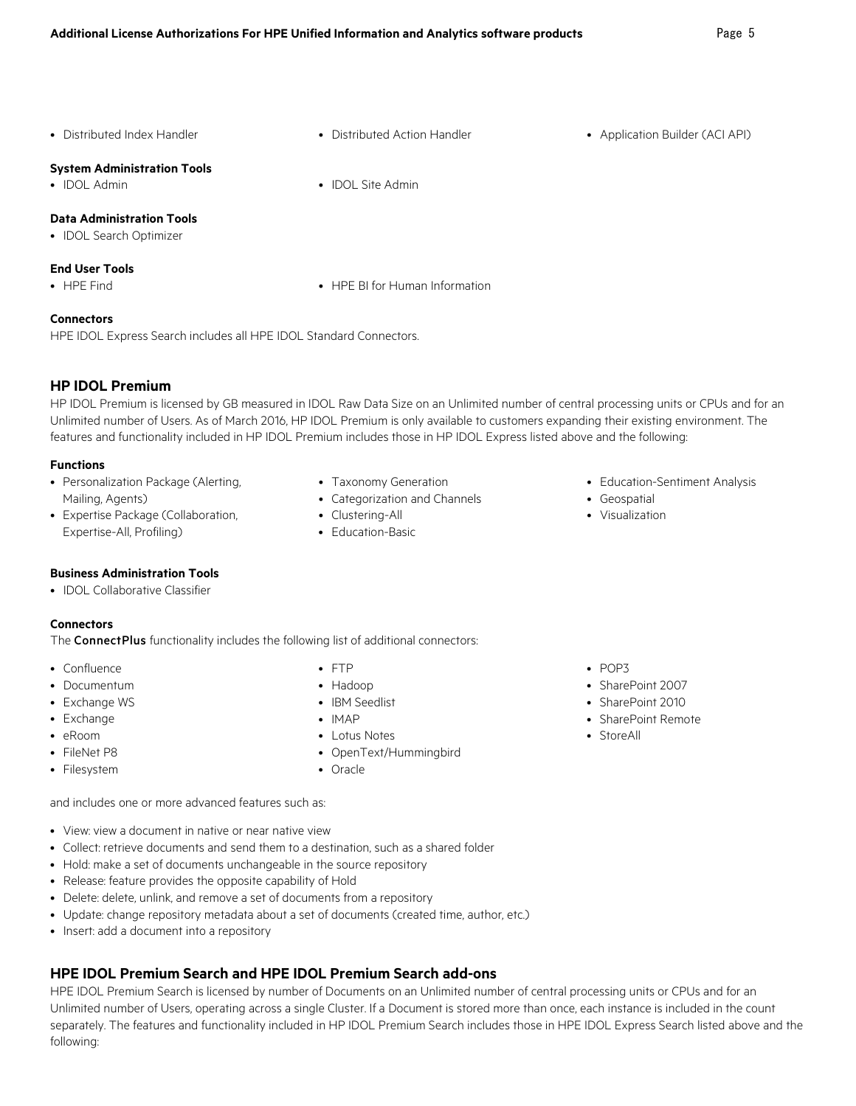- 
- **System Administration Tools**
- 

#### **Data Administration Tools**

• IDOL Search Optimizer

#### **End User Tools**

- 
- HPE Find HPE BI for Human Information

#### **Connectors**

HPE IDOL Express Search includes all HPE IDOL Standard Connectors.

#### **HP IDOL Premium**

HP IDOL Premium is licensed by GB measured in IDOL Raw Data Size on an Unlimited number of central processing units or CPUs and for an Unlimited number of Users. As of March 2016, HP IDOL Premium is only available to customers expanding their existing environment. The features and functionality included in HP IDOL Premium includes those in HP IDOL Express listed above and the following:

#### **Functions**

- Personalization Package (Alerting, Mailing, Agents)
- Expertise Package (Collaboration, Expertise-All, Profiling)
- Taxonomy Generation
- Categorization and Channels
- Clustering-All
- Education-Basic
- Education-Sentiment Analysis
- Geospatial
- Visualization

- **Business Administration Tools**
- IDOL Collaborative Classifier

#### **Connectors**

The **Connect Plus** functionality includes the following list of additional connectors:

- Confluence
- Documentum
- Exchange WS
- Exchange
- eRoom
- FileNet P8 • Filesystem
- FTP
- Hadoop • IBM Seedlist
- IMAP
- 
- Lotus Notes • OpenText/Hummingbird
- Oracle

#### • POP3

- SharePoint 2007
- SharePoint 2010
- SharePoint Remote
- StoreAll

and includes one or more advanced features such as:

- View: view a document in native or near native view
- Collect: retrieve documents and send them to a destination, such as a shared folder
- Hold: make a set of documents unchangeable in the source repository
- Release: feature provides the opposite capability of Hold
- Delete: delete, unlink, and remove a set of documents from a repository
- Update: change repository metadata about a set of documents (created time, author, etc.)
- Insert: add a document into a repository

# **HPE IDOL Premium Search and HPE IDOL Premium Search add-ons**

HPE IDOL Premium Search is licensed by number of Documents on an Unlimited number of central processing units or CPUs and for an Unlimited number of Users, operating across a single Cluster. If a Document is stored more than once, each instance is included in the count separately. The features and functionality included in HP IDOL Premium Search includes those in HPE IDOL Express Search listed above and the following:

# • IDOL Admin • IDOL Site Admin

• Distributed Index Handler • **•** Distributed Action Handler • • • Application Builder (ACI API)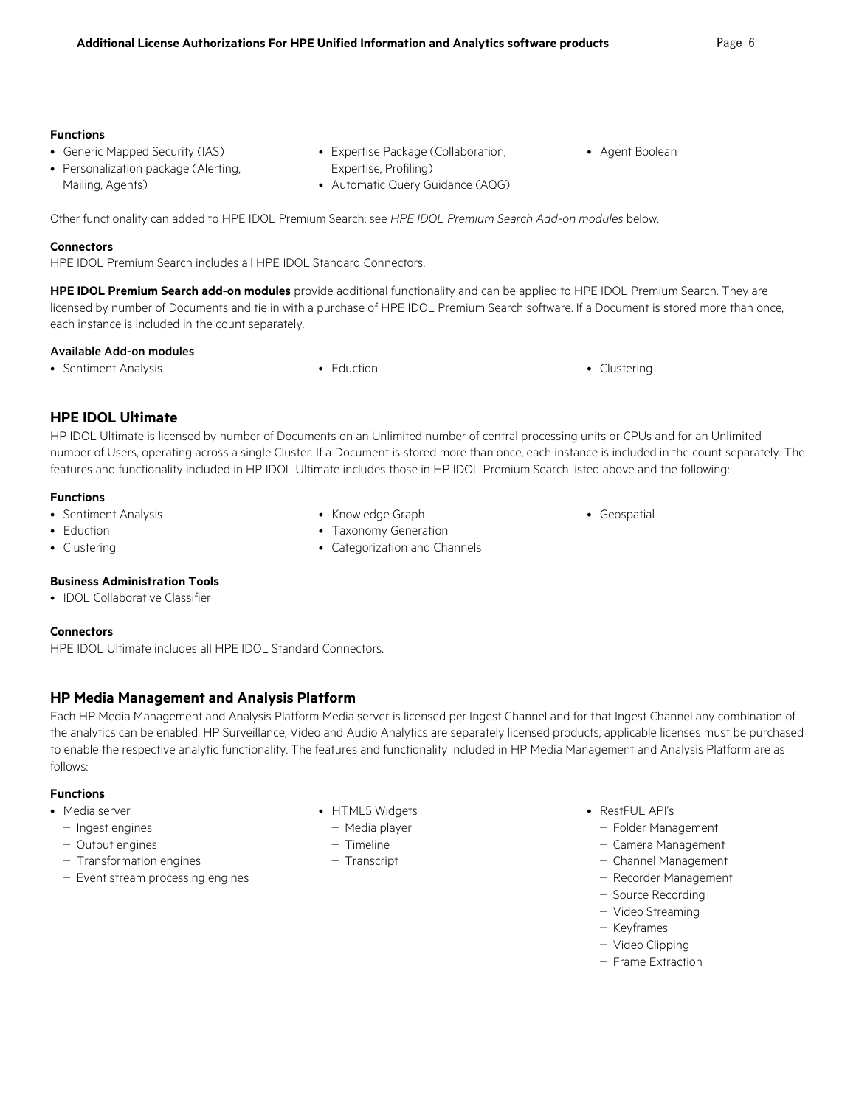#### **Functions**

- Generic Mapped Security (IAS)
- Personalization package (Alerting, Mailing, Agents)
- Expertise Package (Collaboration, Expertise, Profiling)
- Automatic Query Guidance (AQG)
- Agent Boolean
- Other functionality can added to HPE IDOL Premium Search; see *HPE IDOL Premium Search Add-on modules* below.

#### **Connectors**

HPE IDOL Premium Search includes all HPE IDOL Standard Connectors.

**HPE IDOL Premium Search add-on modules** provide additional functionality and can be applied to HPE IDOL Premium Search. They are licensed by number of Documents and tie in with a purchase of HPE IDOL Premium Search software. If a Document is stored more than once, each instance is included in the count separately.

#### Available Add-on modules

• Sentiment Analysis • **Eduction** • **Eduction** • **Clustering** • **Clustering** 

## **HPE IDOL Ultimate**

HP IDOL Ultimate is licensed by number of Documents on an Unlimited number of central processing units or CPUs and for an Unlimited number of Users, operating across a single Cluster. If a Document is stored more than once, each instance is included in the count separately. The features and functionality included in HP IDOL Ultimate includes those in HP IDOL Premium Search listed above and the following:

#### **Functions**

- Sentiment Analysis
- Eduction
- Clustering
- Knowledge Graph
- Taxonomy Generation
- Categorization and Channels
- Geospatial

#### **Business Administration Tools**

• IDOL Collaborative Classifier

#### **Connectors**

HPE IDOL Ultimate includes all HPE IDOL Standard Connectors.

### **HP Media Management and Analysis Platform**

Each HP Media Management and Analysis Platform Media server is licensed per Ingest Channel and for that Ingest Channel any combination of the analytics can be enabled. HP Surveillance, Video and Audio Analytics are separately licensed products, applicable licenses must be purchased to enable the respective analytic functionality. The features and functionality included in HP Media Management and Analysis Platform are as follows:

#### **Functions**

- Media server
	- Ingest engines
	- Output engines
	- Transformation engines
	- Event stream processing engines
- HTML5 Widgets
	- Media player
	- Timeline
	- Transcript
- RestFUL API's
	- Folder Management
	- Camera Management
	- Channel Management
	- Recorder Management
	- Source Recording
	- Video Streaming
	- Keyframes
	- Video Clipping
	- Frame Extraction